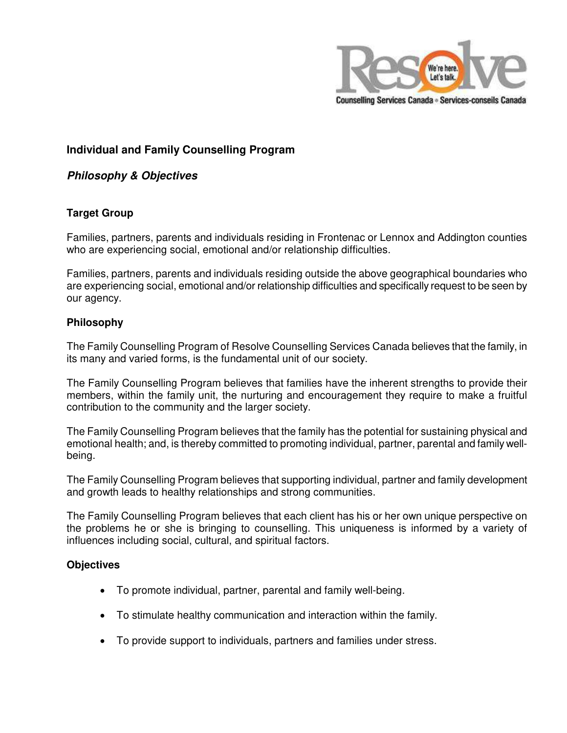

# **Individual and Family Counselling Program**

# **Philosophy & Objectives**

# **Target Group**

Families, partners, parents and individuals residing in Frontenac or Lennox and Addington counties who are experiencing social, emotional and/or relationship difficulties.

Families, partners, parents and individuals residing outside the above geographical boundaries who are experiencing social, emotional and/or relationship difficulties and specifically request to be seen by our agency.

### **Philosophy**

The Family Counselling Program of Resolve Counselling Services Canada believes that the family, in its many and varied forms, is the fundamental unit of our society.

The Family Counselling Program believes that families have the inherent strengths to provide their members, within the family unit, the nurturing and encouragement they require to make a fruitful contribution to the community and the larger society.

The Family Counselling Program believes that the family has the potential for sustaining physical and emotional health; and, is thereby committed to promoting individual, partner, parental and family wellbeing.

The Family Counselling Program believes that supporting individual, partner and family development and growth leads to healthy relationships and strong communities.

The Family Counselling Program believes that each client has his or her own unique perspective on the problems he or she is bringing to counselling. This uniqueness is informed by a variety of influences including social, cultural, and spiritual factors.

### **Objectives**

- To promote individual, partner, parental and family well-being.
- To stimulate healthy communication and interaction within the family.
- To provide support to individuals, partners and families under stress.